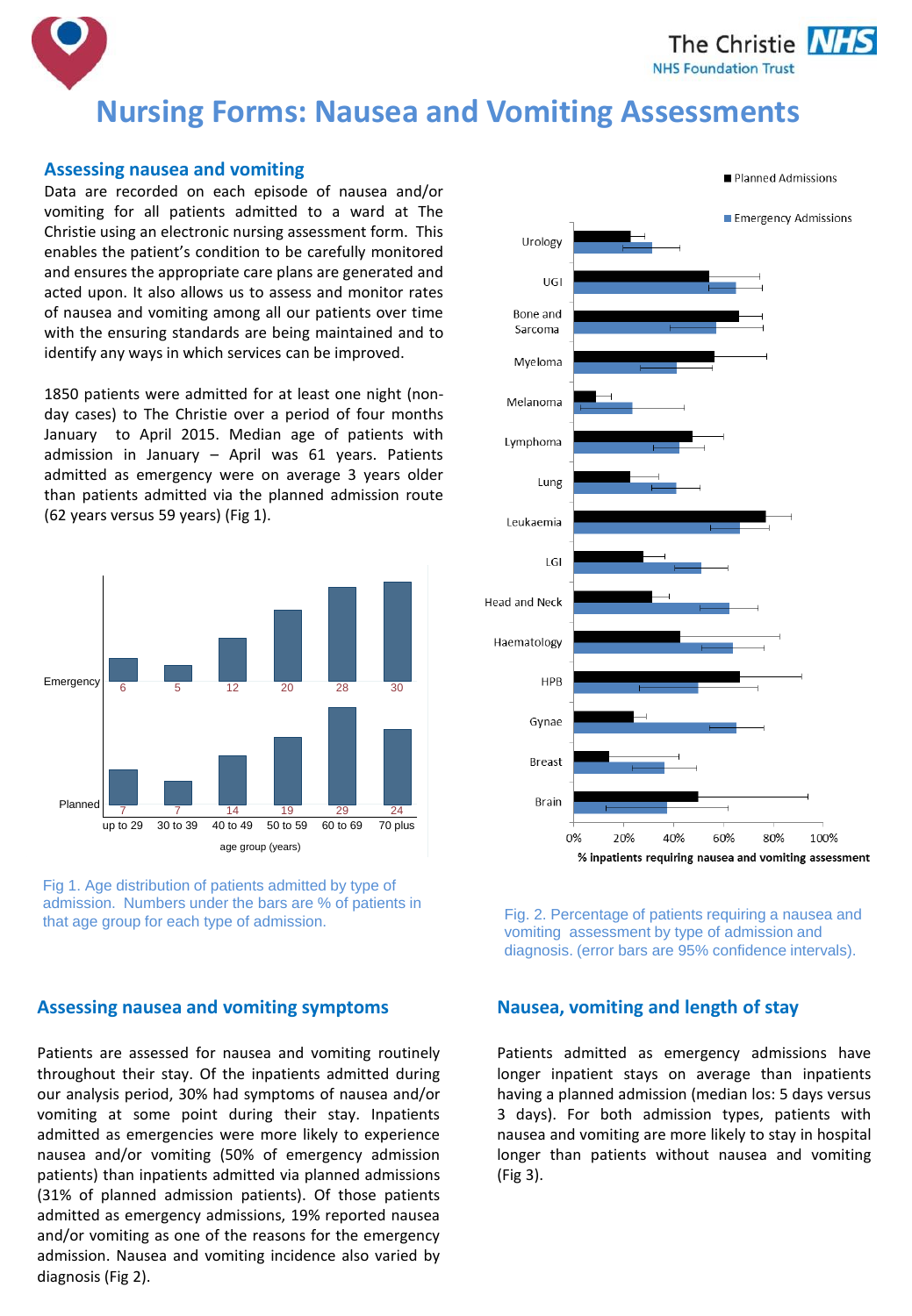The Christie NHS **NHS Foundation Trust** 

# **Nursing Forms: Nausea and Vomiting Assessments**

#### **Assessing nausea and vomiting**

Data are recorded on each episode of nausea and/or vomiting for all patients admitted to a ward at The Christie using an electronic nursing assessment form. This enables the patient's condition to be carefully monitored and ensures the appropriate care plans are generated and acted upon. It also allows us to assess and monitor rates of nausea and vomiting among all our patients over time with the ensuring standards are being maintained and to identify any ways in which services can be improved.

1850 patients were admitted for at least one night (nonday cases) to The Christie over a period of four months January to April 2015. Median age of patients with admission in January – April was 61 years. Patients admitted as emergency were on average 3 years older than patients admitted via the planned admission route (62 years versus 59 years) (Fig 1).





## **Assessing nausea and vomiting symptoms**

Patients are assessed for nausea and vomiting routinely throughout their stay. Of the inpatients admitted during our analysis period, 30% had symptoms of nausea and/or vomiting at some point during their stay. Inpatients admitted as emergencies were more likely to experience nausea and/or vomiting (50% of emergency admission patients) than inpatients admitted via planned admissions (31% of planned admission patients). Of those patients admitted as emergency admissions, 19% reported nausea and/or vomiting as one of the reasons for the emergency admission. Nausea and vomiting incidence also varied by diagnosis (Fig 2).



Fig. 2. Percentage of patients requiring a nausea and vomiting assessment by type of admission and diagnosis. (error bars are 95% confidence intervals).

## **Nausea, vomiting and length of stay**

Patients admitted as emergency admissions have longer inpatient stays on average than inpatients having a planned admission (median los: 5 days versus 3 days). For both admission types, patients with nausea and vomiting are more likely to stay in hospital longer than patients without nausea and vomiting (Fig 3).